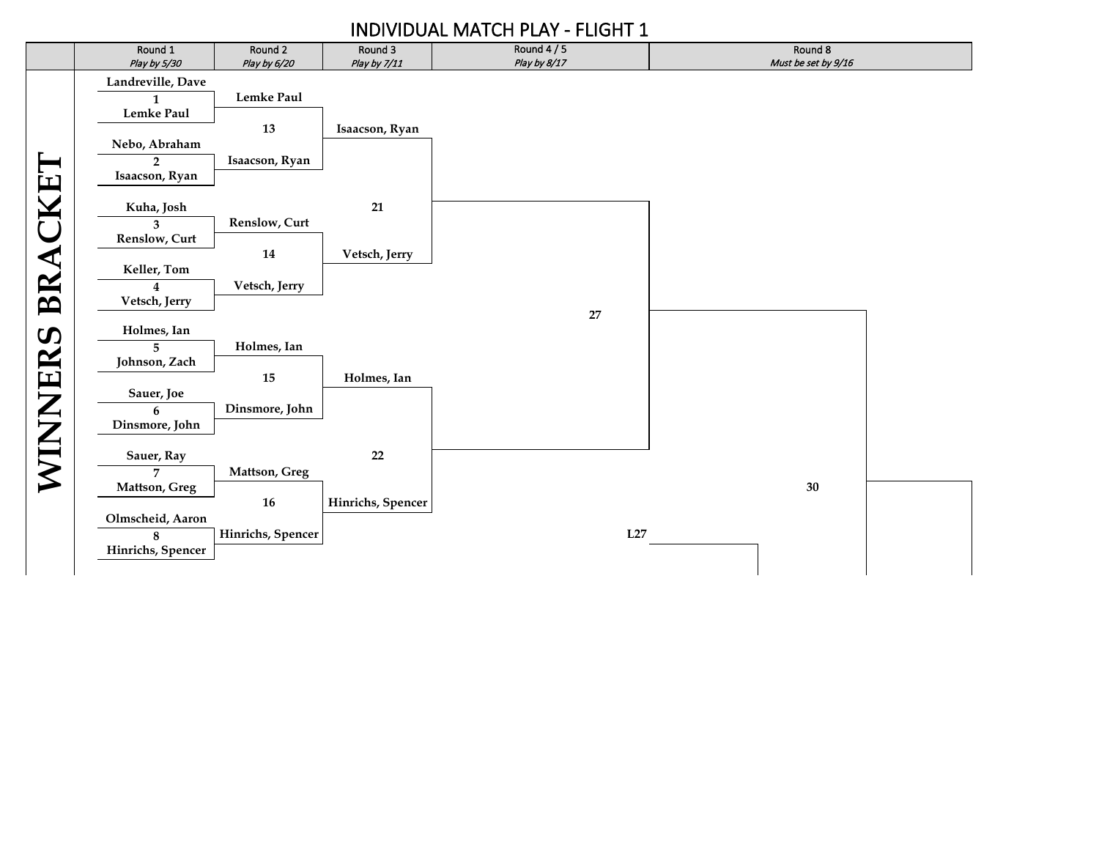